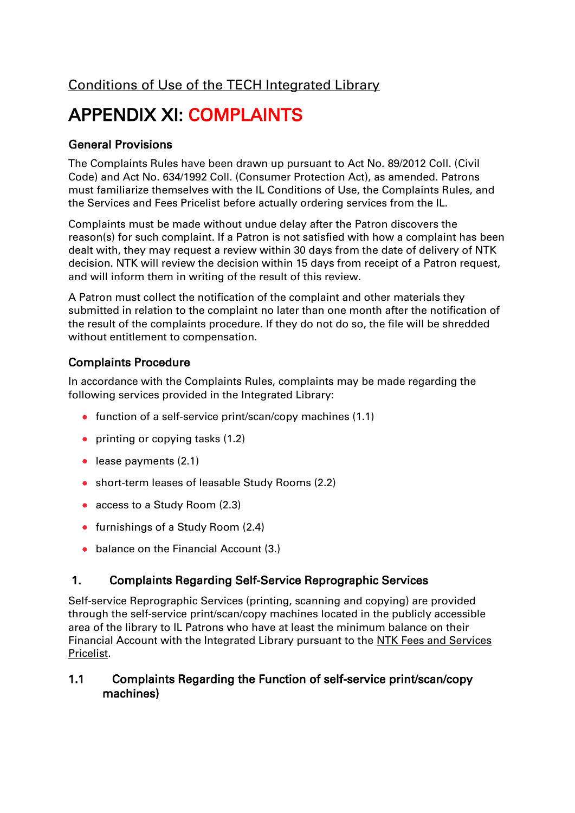# APPENDIX XI: COMPLAINTS

# General Provisions

The Complaints Rules have been drawn up pursuant to Act No. 89/2012 Coll. (Civil Code) and Act No. 634/1992 Coll. (Consumer Protection Act), as amended. Patrons must familiarize themselves with the IL Conditions of Use, the Complaints Rules, and the Services and Fees Pricelist before actually ordering services from the IL.

Complaints must be made without undue delay after the Patron discovers the reason(s) for such complaint. If a Patron is not satisfied with how a complaint has been dealt with, they may request a review within 30 days from the date of delivery of NTK decision. NTK will review the decision within 15 days from receipt of a Patron request, and will inform them in writing of the result of this review.

A Patron must collect the notification of the complaint and other materials they submitted in relation to the complaint no later than one month after the notification of the result of the complaints procedure. If they do not do so, the file will be shredded without entitlement to compensation.

# Complaints Procedure

In accordance with the Complaints Rules, complaints may be made regarding the following services provided in the Integrated Library:

- function of a self-service print/scan/copy machines  $(1.1)$
- $\bullet$  printing or copying tasks (1.2)
- lease payments (2.1)
- short-term leases of leasable Study Rooms (2.2)
- access to a Study Room (2.3)
- furnishings of a Study Room (2.4)
- balance on the Financial Account (3.)

# 1. Complaints Regarding Self-Service Reprographic Services

Self-service Reprographic Services (printing, scanning and copying) are provided through the self-service print/scan/copy machines located in the publicly accessible area of the library to IL Patrons who have at least the minimum balance on their Financial Account with the Integrated Library pursuant to the NTK Fees and Services [Pricelist.](/default/files/download/id/4618/)

## 1.1 Complaints Regarding the Function of self-service print/scan/copy machines)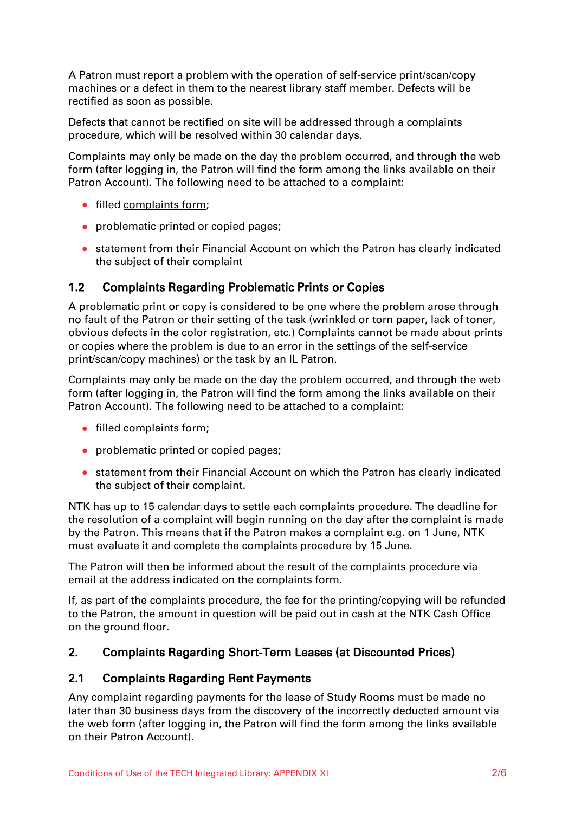A Patron must report a problem with the operation of self-service print/scan/copy machines or a defect in them to the nearest library staff member. Defects will be rectified as soon as possible.

Defects that cannot be rectified on site will be addressed through a complaints procedure, which will be resolved within 30 calendar days.

Complaints may only be made on the day the problem occurred, and through the web form (after logging in, the Patron will find the form among the links available on their Patron Account). The following need to be attached to a complaint:

- filled [complaints form;](/en/83569)
- problematic printed or copied pages;
- statement from their Financial Account on which the Patron has clearly indicated the subject of their complaint

#### 1.2 Complaints Regarding Problematic Prints or Copies

A problematic print or copy is considered to be one where the problem arose through no fault of the Patron or their setting of the task (wrinkled or torn paper, lack of toner, obvious defects in the color registration, etc.) Complaints cannot be made about prints or copies where the problem is due to an error in the settings of the self-service print/scan/copy machines) or the task by an IL Patron.

Complaints may only be made on the day the problem occurred, and through the web form (after logging in, the Patron will find the form among the links available on their Patron Account). The following need to be attached to a complaint:

- filled [complaints form;](/en/83569)
- problematic printed or copied pages;
- statement from their Financial Account on which the Patron has clearly indicated the subject of their complaint.

NTK has up to 15 calendar days to settle each complaints procedure. The deadline for the resolution of a complaint will begin running on the day after the complaint is made by the Patron. This means that if the Patron makes a complaint e.g. on 1 June, NTK must evaluate it and complete the complaints procedure by 15 June.

The Patron will then be informed about the result of the complaints procedure via email at the address indicated on the complaints form.

If, as part of the complaints procedure, the fee for the printing/copying will be refunded to the Patron, the amount in question will be paid out in cash at the NTK Cash Office on the ground floor.

#### 2. Complaints Regarding Short-Term Leases (at Discounted Prices)

#### 2.1 Complaints Regarding Rent Payments

Any complaint regarding payments for the lease of Study Rooms must be made no later than 30 business days from the discovery of the incorrectly deducted amount via the web form (after logging in, the Patron will find the form among the links available on their Patron Account).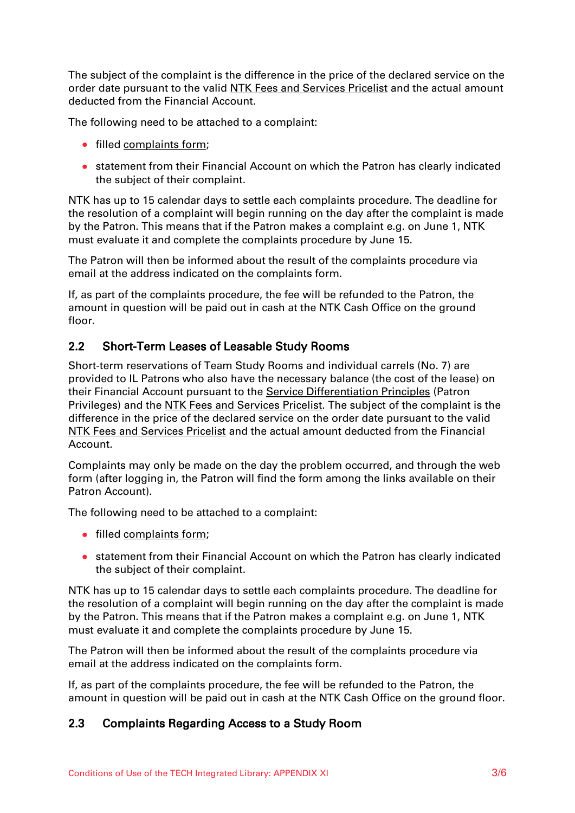The subject of the complaint is the difference in the price of the declared service on the order date pursuant to the valid [NTK Fees and Services Pricelist](/default/files/download/id/4618/) and the actual amount deducted from the Financial Account.

The following need to be attached to a complaint:

- filled complaints form:
- statement from their Financial Account on which the Patron has clearly indicated the subject of their complaint.

NTK has up to 15 calendar days to settle each complaints procedure. The deadline for the resolution of a complaint will begin running on the day after the complaint is made by the Patron. This means that if the Patron makes a complaint e.g. on June 1, NTK must evaluate it and complete the complaints procedure by June 15.

The Patron will then be informed about the result of the complaints procedure via email at the address indicated on the complaints form.

If, as part of the complaints procedure, the fee will be refunded to the Patron, the amount in question will be paid out in cash at the NTK Cash Office on the ground floor.

## 2.2 Short-Term Leases of Leasable Study Rooms

Short-term reservations of Team Study Rooms and individual carrels (No. 7) are provided to IL Patrons who also have the necessary balance (the cost of the lease) on their Financial Account pursuant to the [Service Differentiation Principles](/default/files/download/id/86908/) (Patron Privileges) and the NTK Fees and Services Pricelist. The subject of the complaint is the difference in the price of the declared service on the order date pursuant to the valid [NTK Fees and Services Pricelist](/default/files/download/id/4618/) and the actual amount deducted from the Financial Account.

Complaints may only be made on the day the problem occurred, and through the web form (after logging in, the Patron will find the form among the links available on their Patron Account).

The following need to be attached to a complaint:

- filled complaints form:
- statement from their Financial Account on which the Patron has clearly indicated the subject of their complaint.

NTK has up to 15 calendar days to settle each complaints procedure. The deadline for the resolution of a complaint will begin running on the day after the complaint is made by the Patron. This means that if the Patron makes a complaint e.g. on June 1, NTK must evaluate it and complete the complaints procedure by June 15.

The Patron will then be informed about the result of the complaints procedure via email at the address indicated on the complaints form.

If, as part of the complaints procedure, the fee will be refunded to the Patron, the amount in question will be paid out in cash at the NTK Cash Office on the ground floor.

#### 2.3 Complaints Regarding Access to a Study Room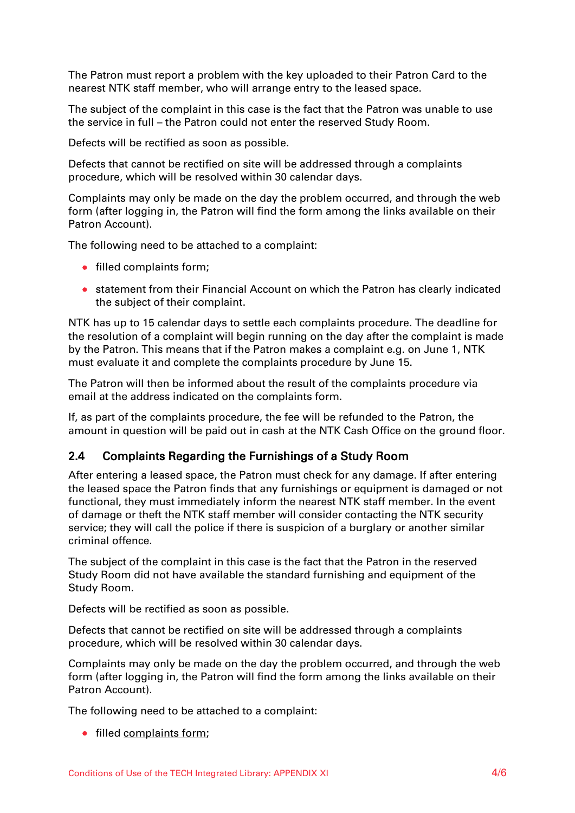The Patron must report a problem with the key uploaded to their Patron Card to the nearest NTK staff member, who will arrange entry to the leased space.

The subject of the complaint in this case is the fact that the Patron was unable to use the service in full – the Patron could not enter the reserved Study Room.

Defects will be rectified as soon as possible.

Defects that cannot be rectified on site will be addressed through a complaints procedure, which will be resolved within 30 calendar days.

Complaints may only be made on the day the problem occurred, and through the web form (after logging in, the Patron will find the form among the links available on their Patron Account).

The following need to be attached to a complaint:

- **•** filled complaints form;
- statement from their Financial Account on which the Patron has clearly indicated the subject of their complaint.

NTK has up to 15 calendar days to settle each complaints procedure. The deadline for the resolution of a complaint will begin running on the day after the complaint is made by the Patron. This means that if the Patron makes a complaint e.g. on June 1, NTK must evaluate it and complete the complaints procedure by June 15.

The Patron will then be informed about the result of the complaints procedure via email at the address indicated on the complaints form.

If, as part of the complaints procedure, the fee will be refunded to the Patron, the amount in question will be paid out in cash at the NTK Cash Office on the ground floor.

#### 2.4 Complaints Regarding the Furnishings of a Study Room

After entering a leased space, the Patron must check for any damage. If after entering the leased space the Patron finds that any furnishings or equipment is damaged or not functional, they must immediately inform the nearest NTK staff member. In the event of damage or theft the NTK staff member will consider contacting the NTK security service; they will call the police if there is suspicion of a burglary or another similar criminal offence.

The subject of the complaint in this case is the fact that the Patron in the reserved Study Room did not have available the standard furnishing and equipment of the Study Room.

Defects will be rectified as soon as possible.

Defects that cannot be rectified on site will be addressed through a complaints procedure, which will be resolved within 30 calendar days.

Complaints may only be made on the day the problem occurred, and through the web form (after logging in, the Patron will find the form among the links available on their Patron Account).

The following need to be attached to a complaint:

• filled [complaints form;](/en/83569)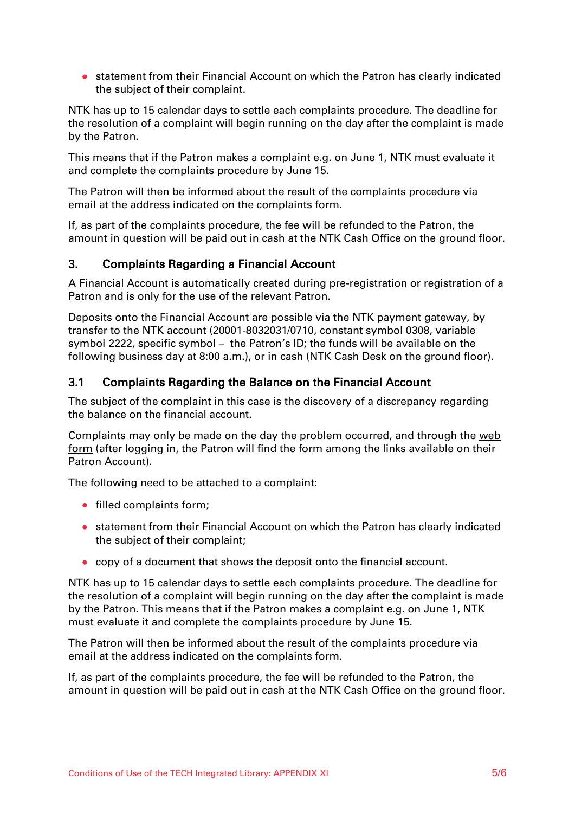statement from their Financial Account on which the Patron has clearly indicated the subject of their complaint.

NTK has up to 15 calendar days to settle each complaints procedure. The deadline for the resolution of a complaint will begin running on the day after the complaint is made by the Patron.

This means that if the Patron makes a complaint e.g. on June 1, NTK must evaluate it and complete the complaints procedure by June 15.

The Patron will then be informed about the result of the complaints procedure via email at the address indicated on the complaints form.

If, as part of the complaints procedure, the fee will be refunded to the Patron, the amount in question will be paid out in cash at the NTK Cash Office on the ground floor.

## 3. Complaints Regarding a Financial Account

A Financial Account is automatically created during pre-registration or registration of a Patron and is only for the use of the relevant Patron.

Deposits onto the Financial Account are possible via the [NTK payment gateway,](https://platebator.ntkcz.cz/?lang=en) by transfer to the NTK account (20001-8032031/0710, constant symbol 0308, variable symbol 2222, specific symbol – the Patron's ID; the funds will be available on the following business day at 8:00 a.m.), or in cash (NTK Cash Desk on the ground floor).

## 3.1 Complaints Regarding the Balance on the Financial Account

The subject of the complaint in this case is the discovery of a discrepancy regarding the balance on the financial account.

Complaints may only be made on the day the problem occurred, and through the [web](/en/83569)  [form](/en/83569) (after logging in, the Patron will find the form among the links available on their Patron Account).

The following need to be attached to a complaint:

- filled complaints form:
- statement from their Financial Account on which the Patron has clearly indicated the subject of their complaint;
- copy of a document that shows the deposit onto the financial account.

NTK has up to 15 calendar days to settle each complaints procedure. The deadline for the resolution of a complaint will begin running on the day after the complaint is made by the Patron. This means that if the Patron makes a complaint e.g. on June 1, NTK must evaluate it and complete the complaints procedure by June 15.

The Patron will then be informed about the result of the complaints procedure via email at the address indicated on the complaints form.

If, as part of the complaints procedure, the fee will be refunded to the Patron, the amount in question will be paid out in cash at the NTK Cash Office on the ground floor.